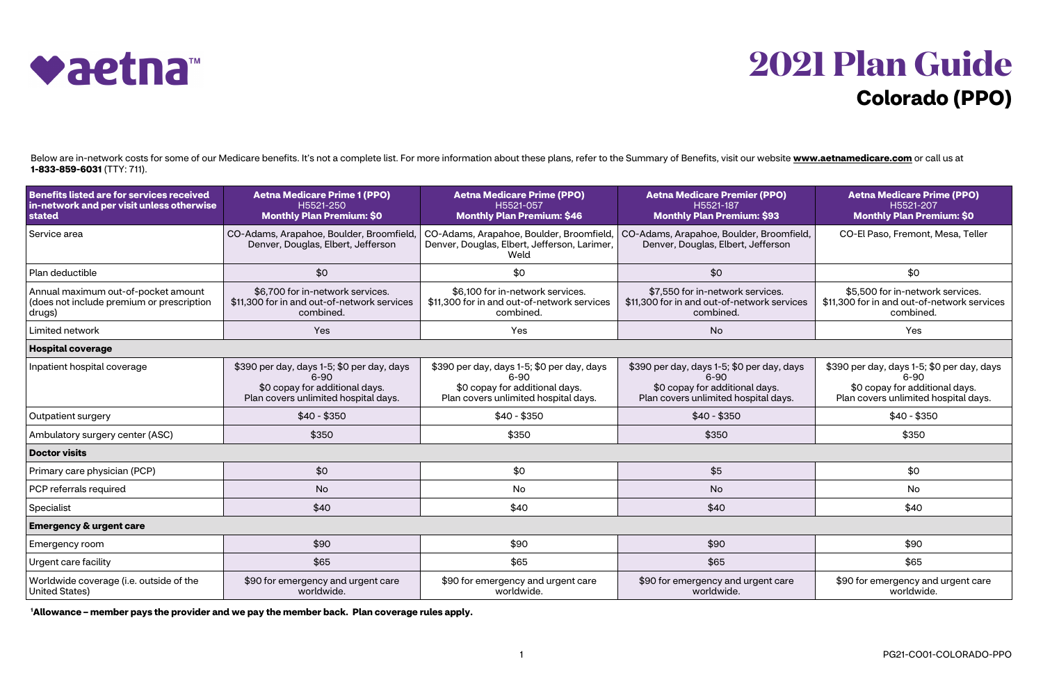## **2021 Plan Guide Colorado (PPO)**



Below are in-network costs for some of our Medicare benefits. It's not a complete list. For more information about these plans, refer to the Summary of Benefits, visit our website **[www.aetnamedicare.com](https://www.aetnamedicare.com)** or call us at **1-833-859-6031** (TTY: 711).

| <b>Benefits listed are for services received</b><br>in-network and per visit unless otherwise<br>stated | <b>Aetna Medicare Prime 1 (PPO)</b><br>H5521-250<br><b>Monthly Plan Premium: \$0</b>                                             | <b>Aetna Medicare Prime (PPO)</b><br>H5521-057<br><b>Monthly Plan Premium: \$46</b>                                              | <b>Aetna Medicare Premier (PPO)</b><br>H5521-187<br><b>Monthly Plan Premium: \$93</b>                                            | <b>Aetna Medicare Prime (PPO)</b><br>H5521-207<br><b>Monthly Plan Premium: \$0</b>                                               |  |
|---------------------------------------------------------------------------------------------------------|----------------------------------------------------------------------------------------------------------------------------------|----------------------------------------------------------------------------------------------------------------------------------|----------------------------------------------------------------------------------------------------------------------------------|----------------------------------------------------------------------------------------------------------------------------------|--|
| Service area                                                                                            | CO-Adams, Arapahoe, Boulder, Broomfield,<br>Denver, Douglas, Elbert, Jefferson                                                   | Denver, Douglas, Elbert, Jefferson, Larimer,<br>Weld                                                                             | CO-Adams, Arapahoe, Boulder, Broomfield,   CO-Adams, Arapahoe, Boulder, Broomfield,<br>Denver, Douglas, Elbert, Jefferson        | CO-El Paso, Fremont, Mesa, Teller                                                                                                |  |
| Plan deductible                                                                                         | \$0                                                                                                                              | \$0                                                                                                                              | \$0                                                                                                                              | \$0                                                                                                                              |  |
| Annual maximum out-of-pocket amount<br>(does not include premium or prescription<br>drugs)              | \$6,700 for in-network services.<br>\$11,300 for in and out-of-network services<br>combined.                                     | \$6,100 for in-network services.<br>\$11,300 for in and out-of-network services<br>combined.                                     | \$7,550 for in-network services.<br>\$11,300 for in and out-of-network services<br>combined.                                     | \$5,500 for in-network services.<br>\$11,300 for in and out-of-network services<br>combined.                                     |  |
| Limited network                                                                                         | Yes                                                                                                                              | Yes                                                                                                                              | <b>No</b>                                                                                                                        | Yes                                                                                                                              |  |
| <b>Hospital coverage</b>                                                                                |                                                                                                                                  |                                                                                                                                  |                                                                                                                                  |                                                                                                                                  |  |
| Inpatient hospital coverage                                                                             | \$390 per day, days 1-5; \$0 per day, days<br>$6 - 90$<br>\$0 copay for additional days.<br>Plan covers unlimited hospital days. | \$390 per day, days 1-5; \$0 per day, days<br>$6 - 90$<br>\$0 copay for additional days.<br>Plan covers unlimited hospital days. | \$390 per day, days 1-5; \$0 per day, days<br>$6 - 90$<br>\$0 copay for additional days.<br>Plan covers unlimited hospital days. | \$390 per day, days 1-5; \$0 per day, days<br>$6 - 90$<br>\$0 copay for additional days.<br>Plan covers unlimited hospital days. |  |
| Outpatient surgery                                                                                      | $$40 - $350$                                                                                                                     | $$40 - $350$                                                                                                                     | $$40 - $350$                                                                                                                     | $$40 - $350$                                                                                                                     |  |
| Ambulatory surgery center (ASC)                                                                         | \$350                                                                                                                            | \$350                                                                                                                            | \$350                                                                                                                            | \$350                                                                                                                            |  |
| <b>Doctor visits</b>                                                                                    |                                                                                                                                  |                                                                                                                                  |                                                                                                                                  |                                                                                                                                  |  |
| Primary care physician (PCP)                                                                            | \$0                                                                                                                              | \$0                                                                                                                              | \$5                                                                                                                              | \$0                                                                                                                              |  |
| PCP referrals required                                                                                  | <b>No</b>                                                                                                                        | No                                                                                                                               | <b>No</b>                                                                                                                        | <b>No</b>                                                                                                                        |  |
| Specialist                                                                                              | \$40                                                                                                                             | \$40                                                                                                                             | \$40                                                                                                                             | \$40                                                                                                                             |  |
| <b>Emergency &amp; urgent care</b>                                                                      |                                                                                                                                  |                                                                                                                                  |                                                                                                                                  |                                                                                                                                  |  |
| Emergency room                                                                                          | \$90                                                                                                                             | \$90                                                                                                                             | \$90                                                                                                                             | \$90                                                                                                                             |  |
| Urgent care facility                                                                                    | \$65                                                                                                                             | \$65                                                                                                                             | \$65                                                                                                                             | \$65                                                                                                                             |  |
| Worldwide coverage (i.e. outside of the<br><b>United States)</b>                                        | \$90 for emergency and urgent care<br>worldwide.                                                                                 | \$90 for emergency and urgent care<br>worldwide.                                                                                 | \$90 for emergency and urgent care<br>worldwide.                                                                                 | \$90 for emergency and urgent care<br>worldwide.                                                                                 |  |

**<sup>1</sup>Allowance – member pays the provider and we pay the member back. Plan coverage rules apply.**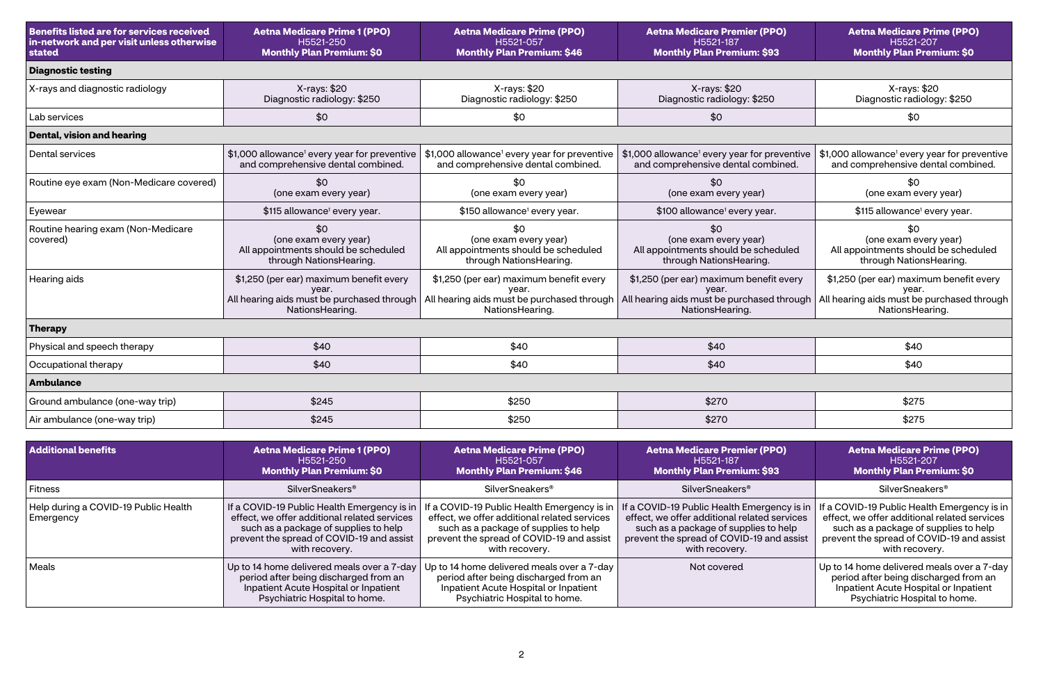| <b>Benefits listed are for services received</b><br>in-network and per visit unless otherwise<br>stated | <b>Aetna Medicare Prime 1 (PPO)</b><br>H5521-250<br><b>Monthly Plan Premium: \$0</b>                                                                                                                | <b>Aetna Medicare Prime (PPO)</b><br>H5521-057<br><b>Monthly Plan Premium: \$46</b>                                                                                                                 | <b>Aetna Medicare Premier (PPO)</b><br>H5521-187<br><b>Monthly Plan Premium: \$93</b>                                                                                                               | <b>Aetna Medicare Prime (PPO)</b><br>H5521-207<br><b>Monthly Plan Premium: \$0</b>                                                                                                               |  |
|---------------------------------------------------------------------------------------------------------|-----------------------------------------------------------------------------------------------------------------------------------------------------------------------------------------------------|-----------------------------------------------------------------------------------------------------------------------------------------------------------------------------------------------------|-----------------------------------------------------------------------------------------------------------------------------------------------------------------------------------------------------|--------------------------------------------------------------------------------------------------------------------------------------------------------------------------------------------------|--|
| <b>Diagnostic testing</b>                                                                               |                                                                                                                                                                                                     |                                                                                                                                                                                                     |                                                                                                                                                                                                     |                                                                                                                                                                                                  |  |
| X-rays and diagnostic radiology                                                                         | X-rays: \$20<br>Diagnostic radiology: \$250                                                                                                                                                         | X-rays: \$20<br>Diagnostic radiology: \$250                                                                                                                                                         | X-rays: \$20<br>Diagnostic radiology: \$250                                                                                                                                                         | X-rays: \$20<br>Diagnostic radiology: \$250                                                                                                                                                      |  |
| Lab services                                                                                            | \$0                                                                                                                                                                                                 | \$0                                                                                                                                                                                                 | \$0                                                                                                                                                                                                 | \$0                                                                                                                                                                                              |  |
| <b>Dental, vision and hearing</b>                                                                       |                                                                                                                                                                                                     |                                                                                                                                                                                                     |                                                                                                                                                                                                     |                                                                                                                                                                                                  |  |
| <b>Dental services</b>                                                                                  | \$1,000 allowance <sup>1</sup> every year for preventive<br>and comprehensive dental combined.                                                                                                      | \$1,000 allowance <sup>1</sup> every year for preventive<br>and comprehensive dental combined.                                                                                                      | \$1,000 allowance <sup>1</sup> every year for preventive<br>and comprehensive dental combined.                                                                                                      | \$1,000 allowance <sup>1</sup> every year for preventive<br>and comprehensive dental combined.                                                                                                   |  |
| Routine eye exam (Non-Medicare covered)                                                                 | \$0<br>(one exam every year)                                                                                                                                                                        | \$0<br>(one exam every year)                                                                                                                                                                        | \$0<br>(one exam every year)                                                                                                                                                                        | \$0<br>(one exam every year)                                                                                                                                                                     |  |
| Eyewear                                                                                                 | \$115 allowance <sup>1</sup> every year.                                                                                                                                                            | \$150 allowance <sup>1</sup> every year.                                                                                                                                                            | \$100 allowance <sup>1</sup> every year.                                                                                                                                                            | \$115 allowance <sup>1</sup> every year.                                                                                                                                                         |  |
| Routine hearing exam (Non-Medicare<br>covered)                                                          | \$0<br>(one exam every year)<br>All appointments should be scheduled<br>through NationsHearing.                                                                                                     | \$0<br>(one exam every year)<br>All appointments should be scheduled<br>through NationsHearing.                                                                                                     | \$0<br>(one exam every year)<br>All appointments should be scheduled<br>through NationsHearing.                                                                                                     | \$0<br>(one exam every year)<br>All appointments should be scheduled<br>through NationsHearing.                                                                                                  |  |
| Hearing aids                                                                                            | \$1,250 (per ear) maximum benefit every<br>year.<br>All hearing aids must be purchased through<br>NationsHearing.                                                                                   | \$1,250 (per ear) maximum benefit every<br>year.<br>All hearing aids must be purchased through<br>NationsHearing.                                                                                   | \$1,250 (per ear) maximum benefit every<br>year.<br>All hearing aids must be purchased through<br>NationsHearing.                                                                                   | \$1,250 (per ear) maximum benefit every<br>year.<br>All hearing aids must be purchased through<br>NationsHearing.                                                                                |  |
| <b>Therapy</b>                                                                                          |                                                                                                                                                                                                     |                                                                                                                                                                                                     |                                                                                                                                                                                                     |                                                                                                                                                                                                  |  |
| Physical and speech therapy                                                                             | \$40                                                                                                                                                                                                | \$40                                                                                                                                                                                                | \$40                                                                                                                                                                                                | \$40                                                                                                                                                                                             |  |
| Occupational therapy                                                                                    | \$40                                                                                                                                                                                                | \$40                                                                                                                                                                                                | \$40                                                                                                                                                                                                | \$40                                                                                                                                                                                             |  |
| <b>Ambulance</b>                                                                                        |                                                                                                                                                                                                     |                                                                                                                                                                                                     |                                                                                                                                                                                                     |                                                                                                                                                                                                  |  |
| Ground ambulance (one-way trip)                                                                         | \$245                                                                                                                                                                                               | \$250                                                                                                                                                                                               | \$270                                                                                                                                                                                               | \$275                                                                                                                                                                                            |  |
| Air ambulance (one-way trip)                                                                            | \$245                                                                                                                                                                                               | \$250                                                                                                                                                                                               | \$270                                                                                                                                                                                               | \$275                                                                                                                                                                                            |  |
| <b>Additional benefits</b>                                                                              | <b>Aetna Medicare Prime 1 (PPO)</b><br>H5521-250<br><b>Monthly Plan Premium: \$0</b>                                                                                                                | <b>Aetna Medicare Prime (PPO)</b><br>H5521-057<br><b>Monthly Plan Premium: \$46</b>                                                                                                                 | <b>Aetna Medicare Premier (PPO)</b><br>H5521-187<br><b>Monthly Plan Premium: \$93</b>                                                                                                               | <b>Aetna Medicare Prime (PPO)</b><br>H5521-207<br><b>Monthly Plan Premium: \$0</b>                                                                                                               |  |
| Fitness                                                                                                 | <b>SilverSneakers®</b>                                                                                                                                                                              | SilverSneakers <sup>®</sup>                                                                                                                                                                         | SilverSneakers®                                                                                                                                                                                     | SilverSneakers®                                                                                                                                                                                  |  |
| Help during a COVID-19 Public Health<br>Emergency                                                       | If a COVID-19 Public Health Emergency is in<br>effect, we offer additional related services<br>such as a package of supplies to help<br>prevent the spread of COVID-19 and assist<br>with recovery. | If a COVID-19 Public Health Emergency is in<br>effect, we offer additional related services<br>such as a package of supplies to help<br>prevent the spread of COVID-19 and assist<br>with recovery. | If a COVID-19 Public Health Emergency is in<br>effect, we offer additional related services<br>such as a package of supplies to help<br>prevent the spread of COVID-19 and assist<br>with recovery. | a COVID-19 Public Health Emergency is in<br>effect, we offer additional related services<br>such as a package of supplies to help<br>prevent the spread of COVID-19 and assist<br>with recovery. |  |
| Meals                                                                                                   | Up to 14 home delivered meals over a 7-day<br>period after being discharged from an<br>Inpatient Acute Hospital or Inpatient<br>Psychiatric Hospital to home.                                       | Up to 14 home delivered meals over a 7-day<br>period after being discharged from an<br>Inpatient Acute Hospital or Inpatient<br>Psychiatric Hospital to home.                                       | Not covered                                                                                                                                                                                         | Up to 14 home delivered meals over a 7-day<br>period after being discharged from an<br>Inpatient Acute Hospital or Inpatient<br>Psychiatric Hospital to home.                                    |  |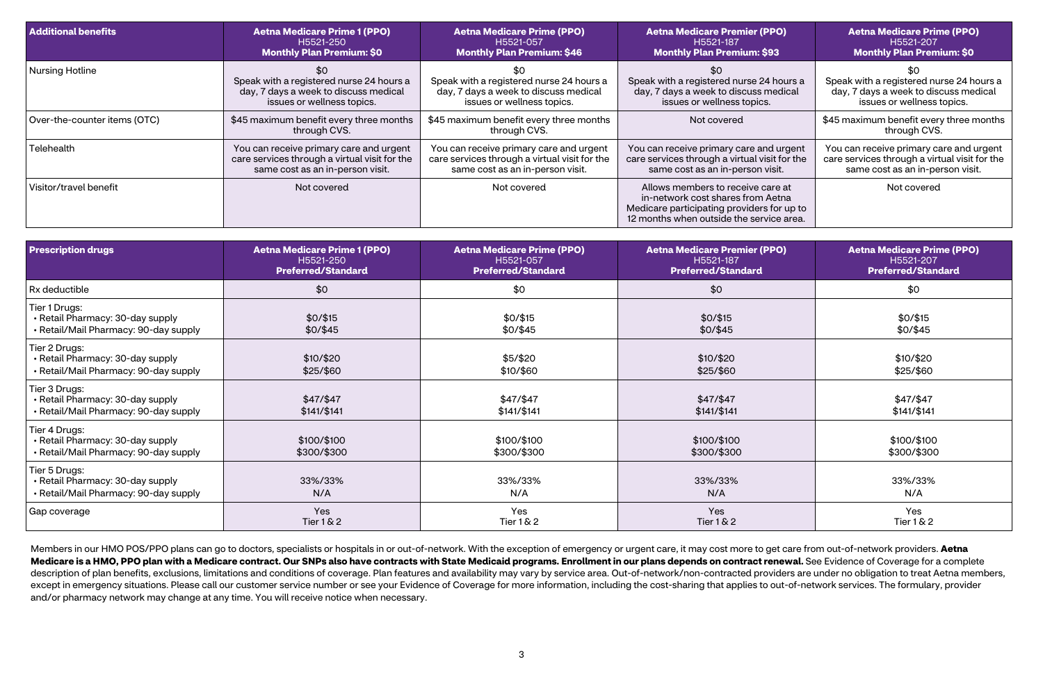| <b>Additional benefits</b>   | <b>Aetna Medicare Prime 1 (PPO)</b><br>H5521-250<br><b>Monthly Plan Premium: \$0</b>                                         | <b>Aetna Medicare Prime (PPO)</b><br>H5521-057<br><b>Monthly Plan Premium: \$46</b>                                          | <b>Aetna Medicare Premier (PPO)</b><br>H5521-187<br><b>Monthly Plan Premium: \$93</b>                                                                            | <b>Aetna Medicare Prime (PPO)</b><br>H5521-207<br><b>Monthly Plan Premium: \$0</b>                                           |
|------------------------------|------------------------------------------------------------------------------------------------------------------------------|------------------------------------------------------------------------------------------------------------------------------|------------------------------------------------------------------------------------------------------------------------------------------------------------------|------------------------------------------------------------------------------------------------------------------------------|
| <b>Nursing Hotline</b>       | \$0<br>Speak with a registered nurse 24 hours a<br>day, 7 days a week to discuss medical<br>issues or wellness topics.       | Speak with a registered nurse 24 hours a<br>day, 7 days a week to discuss medical<br>issues or wellness topics.              | Speak with a registered nurse 24 hours a<br>day, 7 days a week to discuss medical<br>issues or wellness topics.                                                  | Speak with a registered nurse 24 hours a<br>day, 7 days a week to discuss medical<br>issues or wellness topics.              |
| Over-the-counter items (OTC) | \$45 maximum benefit every three months<br>through CVS.                                                                      | \$45 maximum benefit every three months<br>through CVS.                                                                      | Not covered                                                                                                                                                      | \$45 maximum benefit every three months<br>through CVS.                                                                      |
| Telehealth                   | You can receive primary care and urgent<br>care services through a virtual visit for the<br>same cost as an in-person visit. | You can receive primary care and urgent<br>care services through a virtual visit for the<br>same cost as an in-person visit. | You can receive primary care and urgent<br>care services through a virtual visit for the<br>same cost as an in-person visit.                                     | You can receive primary care and urgent<br>care services through a virtual visit for the<br>same cost as an in-person visit. |
| Visitor/travel benefit       | Not covered                                                                                                                  | Not covered                                                                                                                  | Allows members to receive care at<br>in-network cost shares from Aetna<br>Medicare participating providers for up to<br>12 months when outside the service area. | Not covered                                                                                                                  |

| <b>Prescription drugs</b>                                                                  | <b>Aetna Medicare Prime 1 (PPO)</b><br>H5521-250<br><b>Preferred/Standard</b> | <b>Aetna Medicare Prime (PPO)</b><br>H5521-057<br><b>Preferred/Standard</b> | <b>Aetna Medicare Premier (PPO)</b><br>H5521-187<br><b>Preferred/Standard</b> | <b>Aetna Medicare Prime (PPO)</b><br>H5521-207<br><b>Preferred/Standard</b> |
|--------------------------------------------------------------------------------------------|-------------------------------------------------------------------------------|-----------------------------------------------------------------------------|-------------------------------------------------------------------------------|-----------------------------------------------------------------------------|
| Rx deductible                                                                              | \$0                                                                           | \$0                                                                         | \$0                                                                           | \$0                                                                         |
| Tier 1 Drugs:<br>• Retail Pharmacy: 30-day supply<br>• Retail/Mail Pharmacy: 90-day supply | \$0/\$15<br>\$0/\$45                                                          | \$0/\$15<br>\$0/\$45                                                        | \$0/\$15<br>\$0/\$45                                                          | \$0/\$15<br>\$0/\$45                                                        |
| Tier 2 Drugs:<br>• Retail Pharmacy: 30-day supply<br>• Retail/Mail Pharmacy: 90-day supply | \$10/\$20<br>\$25/\$60                                                        | \$5/\$20<br>\$10/\$60                                                       | \$10/\$20<br>\$25/\$60                                                        | \$10/\$20<br>\$25/\$60                                                      |
| Tier 3 Drugs:<br>• Retail Pharmacy: 30-day supply<br>• Retail/Mail Pharmacy: 90-day supply | \$47/\$47<br>\$141/\$141                                                      | \$47/\$47<br>\$141/\$141                                                    | \$47/\$47<br>$$141/\$141$                                                     | $$47/$ \$47<br>\$141/\$141                                                  |
| Tier 4 Drugs:<br>• Retail Pharmacy: 30-day supply<br>• Retail/Mail Pharmacy: 90-day supply | \$100/\$100<br>\$300/\$300                                                    | \$100/\$100<br>\$300/\$300                                                  | \$100/\$100<br>\$300/\$300                                                    | \$100/\$100<br>\$300/\$300                                                  |
| Tier 5 Drugs:<br>• Retail Pharmacy: 30-day supply<br>• Retail/Mail Pharmacy: 90-day supply | 33%/33%<br>N/A                                                                | 33%/33%<br>N/A                                                              | 33%/33%<br>N/A                                                                | 33%/33%<br>N/A                                                              |
| Gap coverage                                                                               | Yes<br>Tier $1 & 2$                                                           | Yes<br>Tier 1 & 2                                                           | Yes<br>Tier $1 & 2$                                                           | Yes<br>Tier $1 & 2$                                                         |

Members in our HMO POS/PPO plans can go to doctors, specialists or hospitals in or out-of-network. With the exception of emergency or urgent care, it may cost more to get care from out-of-network providers. **Aetna**  Medicare is a HMO, PPO plan with a Medicare contract. Our SNPs also have contracts with State Medicaid programs. Enrollment in our plans depends on contract renewal. See Evidence of Coverage for a complete description of plan benefits, exclusions, limitations and conditions of coverage. Plan features and availability may vary by service area. Out-of-network/non-contracted providers are under no obligation to treat Aetna memb except in emergency situations. Please call our customer service number or see your Evidence of Coverage for more information, including the cost-sharing that applies to out-of-network services. The formulary, provider and/or pharmacy network may change at any time. You will receive notice when necessary.